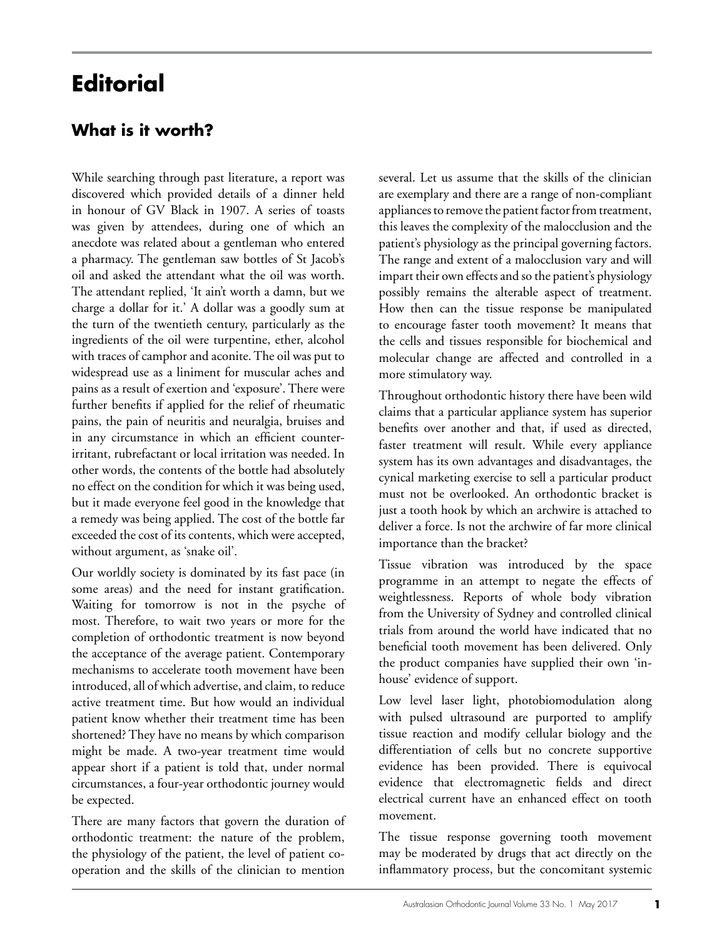## **Editorial**

## **What is it worth?**

While searching through past literature, a report was discovered which provided details of a dinner held in honour of GV Black in 1907. A series of toasts was given by attendees, during one of which an anecdote was related about a gentleman who entered a pharmacy. The gentleman saw bottles of St Jacob's oil and asked the attendant what the oil was worth. The attendant replied, 'It ain't worth a damn, but we charge a dollar for it.' A dollar was a goodly sum at the turn of the twentieth century, particularly as the ingredients of the oil were turpentine, ether, alcohol with traces of camphor and aconite. The oil was put to widespread use as a liniment for muscular aches and pains as a result of exertion and 'exposure'. There were further benefits if applied for the relief of rheumatic pains, the pain of neuritis and neuralgia, bruises and in any circumstance in which an efficient counterirritant, rubrefactant or local irritation was needed. In other words, the contents of the bottle had absolutely no effect on the condition for which it was being used, but it made everyone feel good in the knowledge that a remedy was being applied. The cost of the bottle far exceeded the cost of its contents, which were accepted, without argument, as 'snake oil'.

Our worldly society is dominated by its fast pace (in some areas) and the need for instant gratification. Waiting for tomorrow is not in the psyche of most. Therefore, to wait two years or more for the completion of orthodontic treatment is now beyond the acceptance of the average patient. Contemporary mechanisms to accelerate tooth movement have been introduced, all of which advertise, and claim, to reduce active treatment time. But how would an individual patient know whether their treatment time has been shortened? They have no means by which comparison might be made. A two-year treatment time would appear short if a patient is told that, under normal circumstances, a four-year orthodontic journey would be expected.

There are many factors that govern the duration of orthodontic treatment: the nature of the problem, the physiology of the patient, the level of patient cooperation and the skills of the clinician to mention several. Let us assume that the skills of the clinician are exemplary and there are a range of non-compliant appliances to remove the patient factor from treatment, this leaves the complexity of the malocclusion and the patient's physiology as the principal governing factors. The range and extent of a malocclusion vary and will impart their own effects and so the patient's physiology possibly remains the alterable aspect of treatment. How then can the tissue response be manipulated to encourage faster tooth movement? It means that the cells and tissues responsible for biochemical and molecular change are affected and controlled in a more stimulatory way.

Throughout orthodontic history there have been wild claims that a particular appliance system has superior benefits over another and that, if used as directed, faster treatment will result. While every appliance system has its own advantages and disadvantages, the cynical marketing exercise to sell a particular product must not be overlooked. An orthodontic bracket is just a tooth hook by which an archwire is attached to deliver a force. Is not the archwire of far more clinical importance than the bracket?

Tissue vibration was introduced by the space programme in an attempt to negate the effects of weightlessness. Reports of whole body vibration from the University of Sydney and controlled clinical trials from around the world have indicated that no beneficial tooth movement has been delivered. Only the product companies have supplied their own 'inhouse' evidence of support.

Low level laser light, photobiomodulation along with pulsed ultrasound are purported to amplify tissue reaction and modify cellular biology and the differentiation of cells but no concrete supportive evidence has been provided. There is equivocal evidence that electromagnetic fields and direct electrical current have an enhanced effect on tooth movement.

The tissue response governing tooth movement may be moderated by drugs that act directly on the inflammatory process, but the concomitant systemic